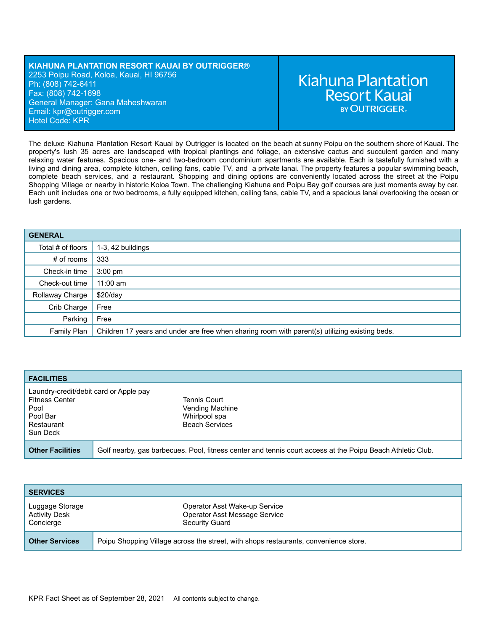## **KIAHUNA PLANTATION RESORT KAUAI BY OUTRIGGER®** 2253 Poipu Road, Koloa, Kauai, HI 96756 Ph: (808) 742-6411 Fax: (808) 742-1698 General Manager: Gana Maheshwaran Email: kp[r@outrigger.com](mailto:orf@outrigger.com) Hotel Code: KPR

# **Kiahuna Plantation Resort Kauai BY OUTRIGGER**

The deluxe Kiahuna Plantation Resort Kauai by Outrigger is located on the beach at sunny Poipu on the southern shore of Kauai. The property's lush 35 acres are landscaped with tropical plantings and foliage, an extensive cactus and succulent garden and many relaxing water features. Spacious one- and two-bedroom condominium apartments are available. Each is tastefully furnished with a living and dining area, complete kitchen, ceiling fans, cable TV, and a private lanai. The property features a popular swimming beach, complete beach services, and a restaurant. Shopping and dining options are conveniently located across the street at the Poipu Shopping Village or nearby in historic Koloa Town. The challenging Kiahuna and Poipu Bay golf courses are just moments away by car. Each unit includes one or two bedrooms, a fully equipped kitchen, ceiling fans, cable TV, and a spacious lanai overlooking the ocean or lush gardens.

| <b>GENERAL</b>    |                                                                                                |
|-------------------|------------------------------------------------------------------------------------------------|
| Total # of floors | 1-3, 42 buildings                                                                              |
| $#$ of rooms      | 333                                                                                            |
| Check-in time     | $3:00$ pm                                                                                      |
| Check-out time    | $11:00$ am                                                                                     |
| Rollaway Charge   | \$20/day                                                                                       |
| Crib Charge       | Free                                                                                           |
| Parking           | Free                                                                                           |
| Family Plan       | Children 17 years and under are free when sharing room with parent(s) utilizing existing beds. |

| <b>FACILITIES</b>                                                                                             |                                                                                                            |
|---------------------------------------------------------------------------------------------------------------|------------------------------------------------------------------------------------------------------------|
| Laundry-credit/debit card or Apple pay<br><b>Fitness Center</b><br>Pool<br>Pool Bar<br>Restaurant<br>Sun Deck | Tennis Court<br>Vending Machine<br>Whirlpool spa<br><b>Beach Services</b>                                  |
| <b>Other Facilities</b>                                                                                       | Golf nearby, gas barbecues. Pool, fitness center and tennis court access at the Poipu Beach Athletic Club. |

| <b>SERVICES</b>                                      |                                                                                      |
|------------------------------------------------------|--------------------------------------------------------------------------------------|
| Luggage Storage<br><b>Activity Desk</b><br>Concierge | Operator Asst Wake-up Service<br>Operator Asst Message Service<br>Security Guard     |
| <b>Other Services</b>                                | Poipu Shopping Village across the street, with shops restaurants, convenience store. |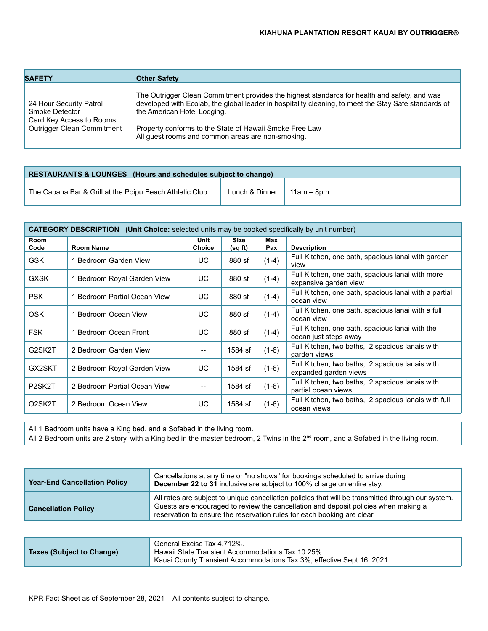| <b>SAFETY</b>                                                                                       | <b>Other Safety</b>                                                                                                                                                                                                                                                                                                                                 |
|-----------------------------------------------------------------------------------------------------|-----------------------------------------------------------------------------------------------------------------------------------------------------------------------------------------------------------------------------------------------------------------------------------------------------------------------------------------------------|
| 24 Hour Security Patrol<br>Smoke Detector<br>Card Key Access to Rooms<br>Outrigger Clean Commitment | The Outrigger Clean Commitment provides the highest standards for health and safety, and was<br>developed with Ecolab, the global leader in hospitality cleaning, to meet the Stay Safe standards of<br>the American Hotel Lodging.<br>Property conforms to the State of Hawaii Smoke Free Law<br>All guest rooms and common areas are non-smoking. |

| <b>RESTAURANTS &amp; LOUNGES</b> (Hours and schedules subject to change) |                                       |  |  |
|--------------------------------------------------------------------------|---------------------------------------|--|--|
| The Cabana Bar & Grill at the Poipu Beach Athletic Club                  | Lunch & Dinner $\parallel$ 11am – 8pm |  |  |

| <b>CATEGORY DESCRIPTION</b> (Unit Choice: selected units may be booked specifically by unit number) |                              |                       |                        |            |                                                                           |
|-----------------------------------------------------------------------------------------------------|------------------------------|-----------------------|------------------------|------------|---------------------------------------------------------------------------|
| Room<br>Code                                                                                        | <b>Room Name</b>             | Unit<br><b>Choice</b> | <b>Size</b><br>(sq ft) | Max<br>Pax | <b>Description</b>                                                        |
| <b>GSK</b>                                                                                          | 1 Bedroom Garden View        | UC                    | 880 sf                 | $(1-4)$    | Full Kitchen, one bath, spacious lanai with garden<br>view                |
| <b>GXSK</b>                                                                                         | 1 Bedroom Royal Garden View  | UC                    | 880 sf                 | $(1-4)$    | Full Kitchen, one bath, spacious lanai with more<br>expansive garden view |
| <b>PSK</b>                                                                                          | 1 Bedroom Partial Ocean View | UC                    | 880 sf                 | $(1-4)$    | Full Kitchen, one bath, spacious lanai with a partial<br>ocean view       |
| <b>OSK</b>                                                                                          | 1 Bedroom Ocean View         | UC                    | 880 sf                 | $(1-4)$    | Full Kitchen, one bath, spacious lanai with a full<br>ocean view          |
| <b>FSK</b>                                                                                          | 1 Bedroom Ocean Front        | UC                    | 880 sf                 | $(1-4)$    | Full Kitchen, one bath, spacious lanai with the<br>ocean just steps away  |
| G2SK2T                                                                                              | 2 Bedroom Garden View        | --                    | 1584 sf                | $(1-6)$    | Full Kitchen, two baths, 2 spacious lanais with<br>garden views           |
| GX2SKT                                                                                              | 2 Bedroom Royal Garden View  | UC                    | 1584 sf                | $(1-6)$    | Full Kitchen, two baths, 2 spacious lanais with<br>expanded garden views  |
| P <sub>2</sub> SK <sub>2</sub> T                                                                    | 2 Bedroom Partial Ocean View | $-$                   | 1584 sf                | $(1-6)$    | Full Kitchen, two baths, 2 spacious lanais with<br>partial ocean views    |
| O <sub>2</sub> SK <sub>2</sub> T                                                                    | 2 Bedroom Ocean View         | UC                    | 1584 sf                | $(1-6)$    | Full Kitchen, two baths, 2 spacious lanais with full<br>ocean views       |

All 1 Bedroom units have a King bed, and a Sofabed in the living room.

| All 2 Bedroom units are 2 story, with a King bed in the master bedroom, 2 Twins in the 2 <sup>nd</sup> room, and a Sofabed in the living room. |
|------------------------------------------------------------------------------------------------------------------------------------------------|
|------------------------------------------------------------------------------------------------------------------------------------------------|

| <b>Year-End Cancellation Policy</b> | Cancellations at any time or "no shows" for bookings scheduled to arrive during<br>December 22 to 31 inclusive are subject to 100% charge on entire stay.                                                                                                            |
|-------------------------------------|----------------------------------------------------------------------------------------------------------------------------------------------------------------------------------------------------------------------------------------------------------------------|
| <b>Cancellation Policy</b>          | All rates are subject to unique cancellation policies that will be transmitted through our system.<br>Guests are encouraged to review the cancellation and deposit policies when making a<br>reservation to ensure the reservation rules for each booking are clear. |

| <b>Taxes (Subject to Change)</b> | General Excise Tax 4.712%.<br>Hawaii State Transient Accommodations Tax 10.25%. |
|----------------------------------|---------------------------------------------------------------------------------|
|                                  | Kauai County Transient Accommodations Tax 3%, effective Sept 16, 2021           |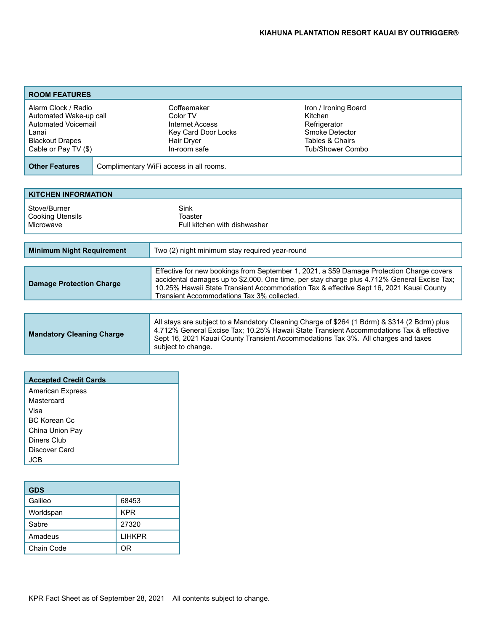| <b>ROOM FEATURES</b>                                                                                                            |                                         |                                                                                                 |                                                                                                          |
|---------------------------------------------------------------------------------------------------------------------------------|-----------------------------------------|-------------------------------------------------------------------------------------------------|----------------------------------------------------------------------------------------------------------|
| Alarm Clock / Radio<br>Automated Wake-up call<br>Automated Voicemail<br>Lanai<br><b>Blackout Drapes</b><br>Cable or Pay TV (\$) |                                         | Coffeemaker<br>Color TV<br>Internet Access<br>Key Card Door Locks<br>Hair Dryer<br>In-room safe | Iron / Ironing Board<br>Kitchen<br>Refrigerator<br>Smoke Detector<br>Tables & Chairs<br>Tub/Shower Combo |
| <b>Other Features</b>                                                                                                           | Complimentary WiFi access in all rooms. |                                                                                                 |                                                                                                          |

| <b>KITCHEN INFORMATION</b>                                                         |                                                                                                                                                                                                                                                                                                                                  |  |
|------------------------------------------------------------------------------------|----------------------------------------------------------------------------------------------------------------------------------------------------------------------------------------------------------------------------------------------------------------------------------------------------------------------------------|--|
| Stove/Burner<br><b>Cooking Utensils</b><br>Microwave                               | Sink<br>Toaster<br>Full kitchen with dishwasher                                                                                                                                                                                                                                                                                  |  |
|                                                                                    |                                                                                                                                                                                                                                                                                                                                  |  |
| <b>Minimum Night Requirement</b><br>Two (2) night minimum stay required year-round |                                                                                                                                                                                                                                                                                                                                  |  |
|                                                                                    |                                                                                                                                                                                                                                                                                                                                  |  |
| <b>Damage Protection Charge</b>                                                    | Effective for new bookings from September 1, 2021, a \$59 Damage Protection Charge covers<br>accidental damages up to \$2,000. One time, per stay charge plus 4.712% General Excise Tax;<br>10.25% Hawaii State Transient Accommodation Tax & effective Sept 16, 2021 Kauai County<br>Transient Accommodations Tax 3% collected. |  |

| <b>Mandatory Cleaning Charge</b> | All stays are subject to a Mandatory Cleaning Charge of \$264 (1 Bdrm) & \$314 (2 Bdrm) plus<br>4.712% General Excise Tax: 10.25% Hawaii State Transient Accommodations Tax & effective<br>Sept 16, 2021 Kauai County Transient Accommodations Tax 3%. All charges and taxes<br>subject to change. |
|----------------------------------|----------------------------------------------------------------------------------------------------------------------------------------------------------------------------------------------------------------------------------------------------------------------------------------------------|
|----------------------------------|----------------------------------------------------------------------------------------------------------------------------------------------------------------------------------------------------------------------------------------------------------------------------------------------------|

| <b>Accepted Credit Cards</b> |
|------------------------------|
| <b>American Express</b>      |
| Mastercard                   |
| Visa                         |
| BC Korean Cc                 |
| China Union Pay              |
| Diners Club                  |
| Discover Card                |
|                              |

| <b>GDS</b> |               |
|------------|---------------|
| Galileo    | 68453         |
| Worldspan  | <b>KPR</b>    |
| Sabre      | 27320         |
| Amadeus    | <b>LIHKPR</b> |
| Chain Code | ΟR            |